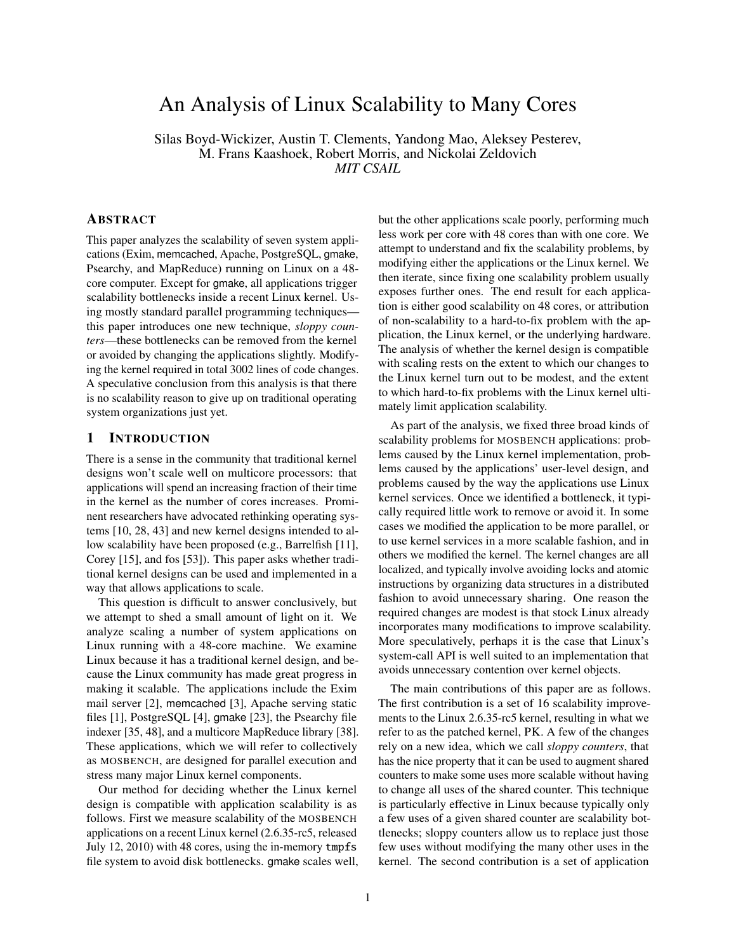# An Analysis of Linux Scalability to Many Cores

Silas Boyd-Wickizer, Austin T. Clements, Yandong Mao, Aleksey Pesterev, M. Frans Kaashoek, Robert Morris, and Nickolai Zeldovich *MIT CSAIL*

# ABSTRACT

This paper analyzes the scalability of seven system applications (Exim, memcached, Apache, PostgreSQL, gmake, Psearchy, and MapReduce) running on Linux on a 48 core computer. Except for gmake, all applications trigger scalability bottlenecks inside a recent Linux kernel. Using mostly standard parallel programming techniques this paper introduces one new technique, *sloppy counters*—these bottlenecks can be removed from the kernel or avoided by changing the applications slightly. Modifying the kernel required in total 3002 lines of code changes. A speculative conclusion from this analysis is that there is no scalability reason to give up on traditional operating system organizations just yet.

## 1 INTRODUCTION

There is a sense in the community that traditional kernel designs won't scale well on multicore processors: that applications will spend an increasing fraction of their time in the kernel as the number of cores increases. Prominent researchers have advocated rethinking operating systems [10, 28, 43] and new kernel designs intended to allow scalability have been proposed (e.g., Barrelfish [11], Corey [15], and fos [53]). This paper asks whether traditional kernel designs can be used and implemented in a way that allows applications to scale.

This question is difficult to answer conclusively, but we attempt to shed a small amount of light on it. We analyze scaling a number of system applications on Linux running with a 48-core machine. We examine Linux because it has a traditional kernel design, and because the Linux community has made great progress in making it scalable. The applications include the Exim mail server [2], memcached [3], Apache serving static files [1], PostgreSQL [4], gmake [23], the Psearchy file indexer [35, 48], and a multicore MapReduce library [38]. These applications, which we will refer to collectively as MOSBENCH, are designed for parallel execution and stress many major Linux kernel components.

Our method for deciding whether the Linux kernel design is compatible with application scalability is as follows. First we measure scalability of the MOSBENCH applications on a recent Linux kernel (2.6.35-rc5, released July 12, 2010) with 48 cores, using the in-memory tmpfs file system to avoid disk bottlenecks. gmake scales well, but the other applications scale poorly, performing much less work per core with 48 cores than with one core. We attempt to understand and fix the scalability problems, by modifying either the applications or the Linux kernel. We then iterate, since fixing one scalability problem usually exposes further ones. The end result for each application is either good scalability on 48 cores, or attribution of non-scalability to a hard-to-fix problem with the application, the Linux kernel, or the underlying hardware. The analysis of whether the kernel design is compatible with scaling rests on the extent to which our changes to the Linux kernel turn out to be modest, and the extent to which hard-to-fix problems with the Linux kernel ultimately limit application scalability.

As part of the analysis, we fixed three broad kinds of scalability problems for MOSBENCH applications: problems caused by the Linux kernel implementation, problems caused by the applications' user-level design, and problems caused by the way the applications use Linux kernel services. Once we identified a bottleneck, it typically required little work to remove or avoid it. In some cases we modified the application to be more parallel, or to use kernel services in a more scalable fashion, and in others we modified the kernel. The kernel changes are all localized, and typically involve avoiding locks and atomic instructions by organizing data structures in a distributed fashion to avoid unnecessary sharing. One reason the required changes are modest is that stock Linux already incorporates many modifications to improve scalability. More speculatively, perhaps it is the case that Linux's system-call API is well suited to an implementation that avoids unnecessary contention over kernel objects.

The main contributions of this paper are as follows. The first contribution is a set of 16 scalability improvements to the Linux 2.6.35-rc5 kernel, resulting in what we refer to as the patched kernel, PK. A few of the changes rely on a new idea, which we call *sloppy counters*, that has the nice property that it can be used to augment shared counters to make some uses more scalable without having to change all uses of the shared counter. This technique is particularly effective in Linux because typically only a few uses of a given shared counter are scalability bottlenecks; sloppy counters allow us to replace just those few uses without modifying the many other uses in the kernel. The second contribution is a set of application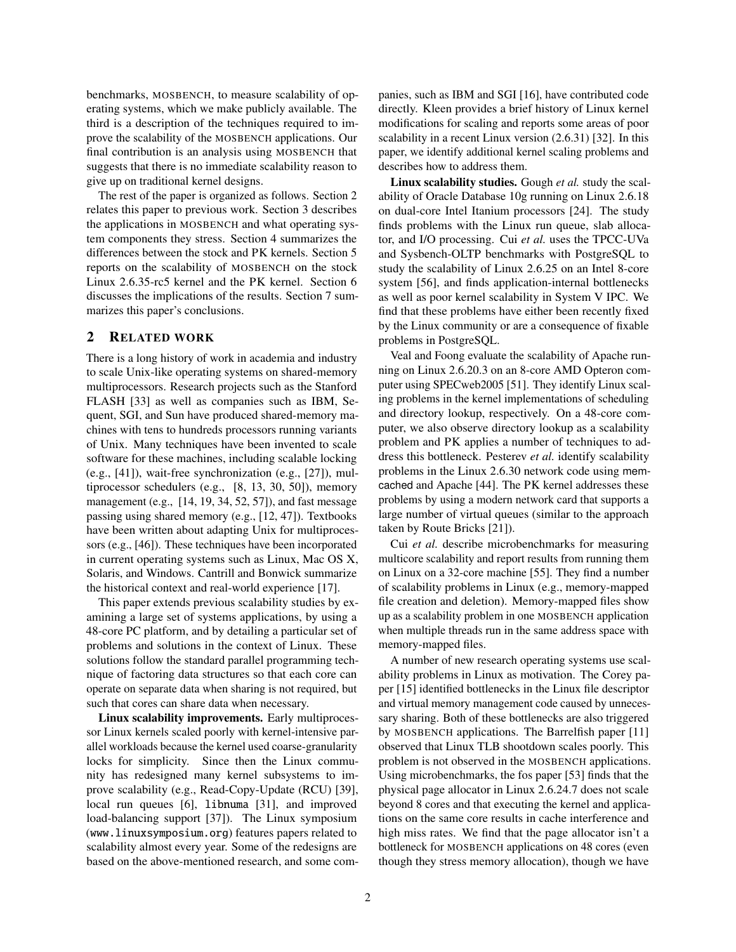benchmarks, MOSBENCH, to measure scalability of operating systems, which we make publicly available. The third is a description of the techniques required to improve the scalability of the MOSBENCH applications. Our final contribution is an analysis using MOSBENCH that suggests that there is no immediate scalability reason to give up on traditional kernel designs.

The rest of the paper is organized as follows. Section 2 relates this paper to previous work. Section 3 describes the applications in MOSBENCH and what operating system components they stress. Section 4 summarizes the differences between the stock and PK kernels. Section 5 reports on the scalability of MOSBENCH on the stock Linux 2.6.35-rc5 kernel and the PK kernel. Section 6 discusses the implications of the results. Section 7 summarizes this paper's conclusions.

# 2 RELATED WORK

There is a long history of work in academia and industry to scale Unix-like operating systems on shared-memory multiprocessors. Research projects such as the Stanford FLASH [33] as well as companies such as IBM, Sequent, SGI, and Sun have produced shared-memory machines with tens to hundreds processors running variants of Unix. Many techniques have been invented to scale software for these machines, including scalable locking (e.g., [41]), wait-free synchronization (e.g., [27]), multiprocessor schedulers (e.g., [8, 13, 30, 50]), memory management (e.g., [14, 19, 34, 52, 57]), and fast message passing using shared memory (e.g., [12, 47]). Textbooks have been written about adapting Unix for multiprocessors (e.g., [46]). These techniques have been incorporated in current operating systems such as Linux, Mac OS X, Solaris, and Windows. Cantrill and Bonwick summarize the historical context and real-world experience [17].

This paper extends previous scalability studies by examining a large set of systems applications, by using a 48-core PC platform, and by detailing a particular set of problems and solutions in the context of Linux. These solutions follow the standard parallel programming technique of factoring data structures so that each core can operate on separate data when sharing is not required, but such that cores can share data when necessary.

Linux scalability improvements. Early multiprocessor Linux kernels scaled poorly with kernel-intensive parallel workloads because the kernel used coarse-granularity locks for simplicity. Since then the Linux community has redesigned many kernel subsystems to improve scalability (e.g., Read-Copy-Update (RCU) [39], local run queues [6], libnuma [31], and improved load-balancing support [37]). The Linux symposium (www.linuxsymposium.org) features papers related to scalability almost every year. Some of the redesigns are based on the above-mentioned research, and some companies, such as IBM and SGI [16], have contributed code directly. Kleen provides a brief history of Linux kernel modifications for scaling and reports some areas of poor scalability in a recent Linux version (2.6.31) [32]. In this paper, we identify additional kernel scaling problems and describes how to address them.

Linux scalability studies. Gough *et al.* study the scalability of Oracle Database 10g running on Linux 2.6.18 on dual-core Intel Itanium processors [24]. The study finds problems with the Linux run queue, slab allocator, and I/O processing. Cui *et al.* uses the TPCC-UVa and Sysbench-OLTP benchmarks with PostgreSQL to study the scalability of Linux 2.6.25 on an Intel 8-core system [56], and finds application-internal bottlenecks as well as poor kernel scalability in System V IPC. We find that these problems have either been recently fixed by the Linux community or are a consequence of fixable problems in PostgreSQL.

Veal and Foong evaluate the scalability of Apache running on Linux 2.6.20.3 on an 8-core AMD Opteron computer using SPECweb2005 [51]. They identify Linux scaling problems in the kernel implementations of scheduling and directory lookup, respectively. On a 48-core computer, we also observe directory lookup as a scalability problem and PK applies a number of techniques to address this bottleneck. Pesterev *et al.* identify scalability problems in the Linux 2.6.30 network code using memcached and Apache [44]. The PK kernel addresses these problems by using a modern network card that supports a large number of virtual queues (similar to the approach taken by Route Bricks [21]).

Cui *et al.* describe microbenchmarks for measuring multicore scalability and report results from running them on Linux on a 32-core machine [55]. They find a number of scalability problems in Linux (e.g., memory-mapped file creation and deletion). Memory-mapped files show up as a scalability problem in one MOSBENCH application when multiple threads run in the same address space with memory-mapped files.

A number of new research operating systems use scalability problems in Linux as motivation. The Corey paper [15] identified bottlenecks in the Linux file descriptor and virtual memory management code caused by unnecessary sharing. Both of these bottlenecks are also triggered by MOSBENCH applications. The Barrelfish paper [11] observed that Linux TLB shootdown scales poorly. This problem is not observed in the MOSBENCH applications. Using microbenchmarks, the fos paper [53] finds that the physical page allocator in Linux 2.6.24.7 does not scale beyond 8 cores and that executing the kernel and applications on the same core results in cache interference and high miss rates. We find that the page allocator isn't a bottleneck for MOSBENCH applications on 48 cores (even though they stress memory allocation), though we have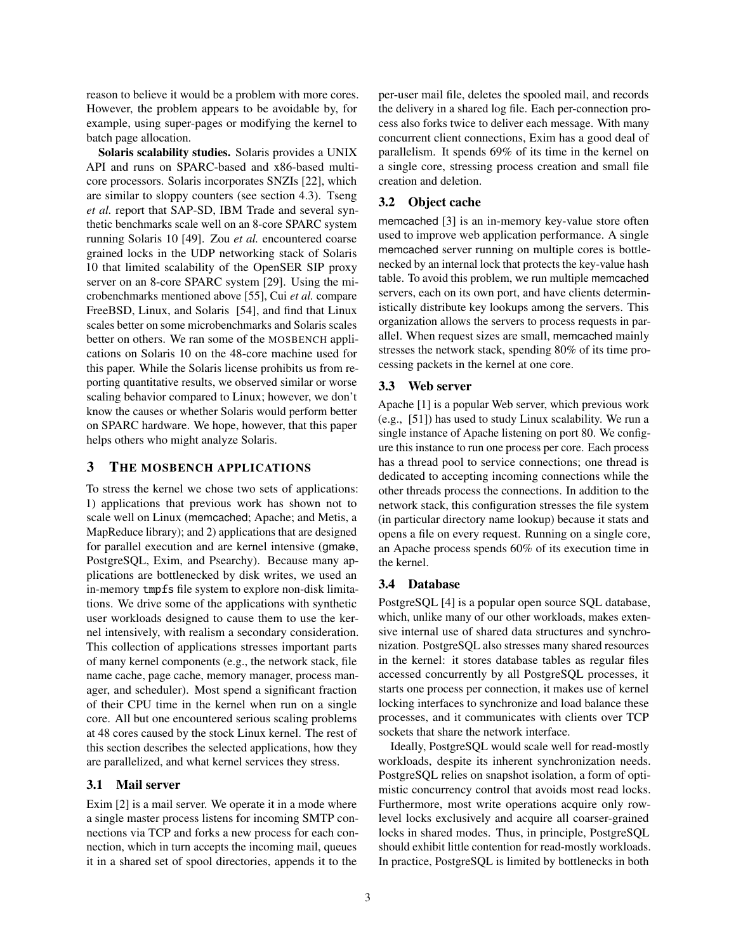reason to believe it would be a problem with more cores. However, the problem appears to be avoidable by, for example, using super-pages or modifying the kernel to batch page allocation.

Solaris scalability studies. Solaris provides a UNIX API and runs on SPARC-based and x86-based multicore processors. Solaris incorporates SNZIs [22], which are similar to sloppy counters (see section 4.3). Tseng *et al.* report that SAP-SD, IBM Trade and several synthetic benchmarks scale well on an 8-core SPARC system running Solaris 10 [49]. Zou *et al.* encountered coarse grained locks in the UDP networking stack of Solaris 10 that limited scalability of the OpenSER SIP proxy server on an 8-core SPARC system [29]. Using the microbenchmarks mentioned above [55], Cui *et al.* compare FreeBSD, Linux, and Solaris [54], and find that Linux scales better on some microbenchmarks and Solaris scales better on others. We ran some of the MOSBENCH applications on Solaris 10 on the 48-core machine used for this paper. While the Solaris license prohibits us from reporting quantitative results, we observed similar or worse scaling behavior compared to Linux; however, we don't know the causes or whether Solaris would perform better on SPARC hardware. We hope, however, that this paper helps others who might analyze Solaris.

## 3 THE MOSBENCH APPLICATIONS

To stress the kernel we chose two sets of applications: 1) applications that previous work has shown not to scale well on Linux (memcached; Apache; and Metis, a MapReduce library); and 2) applications that are designed for parallel execution and are kernel intensive (gmake, PostgreSQL, Exim, and Psearchy). Because many applications are bottlenecked by disk writes, we used an in-memory tmpfs file system to explore non-disk limitations. We drive some of the applications with synthetic user workloads designed to cause them to use the kernel intensively, with realism a secondary consideration. This collection of applications stresses important parts of many kernel components (e.g., the network stack, file name cache, page cache, memory manager, process manager, and scheduler). Most spend a significant fraction of their CPU time in the kernel when run on a single core. All but one encountered serious scaling problems at 48 cores caused by the stock Linux kernel. The rest of this section describes the selected applications, how they are parallelized, and what kernel services they stress.

#### 3.1 Mail server

Exim [2] is a mail server. We operate it in a mode where a single master process listens for incoming SMTP connections via TCP and forks a new process for each connection, which in turn accepts the incoming mail, queues it in a shared set of spool directories, appends it to the per-user mail file, deletes the spooled mail, and records the delivery in a shared log file. Each per-connection process also forks twice to deliver each message. With many concurrent client connections, Exim has a good deal of parallelism. It spends 69% of its time in the kernel on a single core, stressing process creation and small file creation and deletion.

#### 3.2 Object cache

memcached [3] is an in-memory key-value store often used to improve web application performance. A single memcached server running on multiple cores is bottlenecked by an internal lock that protects the key-value hash table. To avoid this problem, we run multiple memcached servers, each on its own port, and have clients deterministically distribute key lookups among the servers. This organization allows the servers to process requests in parallel. When request sizes are small, memcached mainly stresses the network stack, spending 80% of its time processing packets in the kernel at one core.

#### 3.3 Web server

Apache [1] is a popular Web server, which previous work (e.g., [51]) has used to study Linux scalability. We run a single instance of Apache listening on port 80. We configure this instance to run one process per core. Each process has a thread pool to service connections; one thread is dedicated to accepting incoming connections while the other threads process the connections. In addition to the network stack, this configuration stresses the file system (in particular directory name lookup) because it stats and opens a file on every request. Running on a single core, an Apache process spends 60% of its execution time in the kernel.

#### 3.4 Database

PostgreSQL [4] is a popular open source SQL database, which, unlike many of our other workloads, makes extensive internal use of shared data structures and synchronization. PostgreSQL also stresses many shared resources in the kernel: it stores database tables as regular files accessed concurrently by all PostgreSQL processes, it starts one process per connection, it makes use of kernel locking interfaces to synchronize and load balance these processes, and it communicates with clients over TCP sockets that share the network interface.

Ideally, PostgreSQL would scale well for read-mostly workloads, despite its inherent synchronization needs. PostgreSQL relies on snapshot isolation, a form of optimistic concurrency control that avoids most read locks. Furthermore, most write operations acquire only rowlevel locks exclusively and acquire all coarser-grained locks in shared modes. Thus, in principle, PostgreSQL should exhibit little contention for read-mostly workloads. In practice, PostgreSQL is limited by bottlenecks in both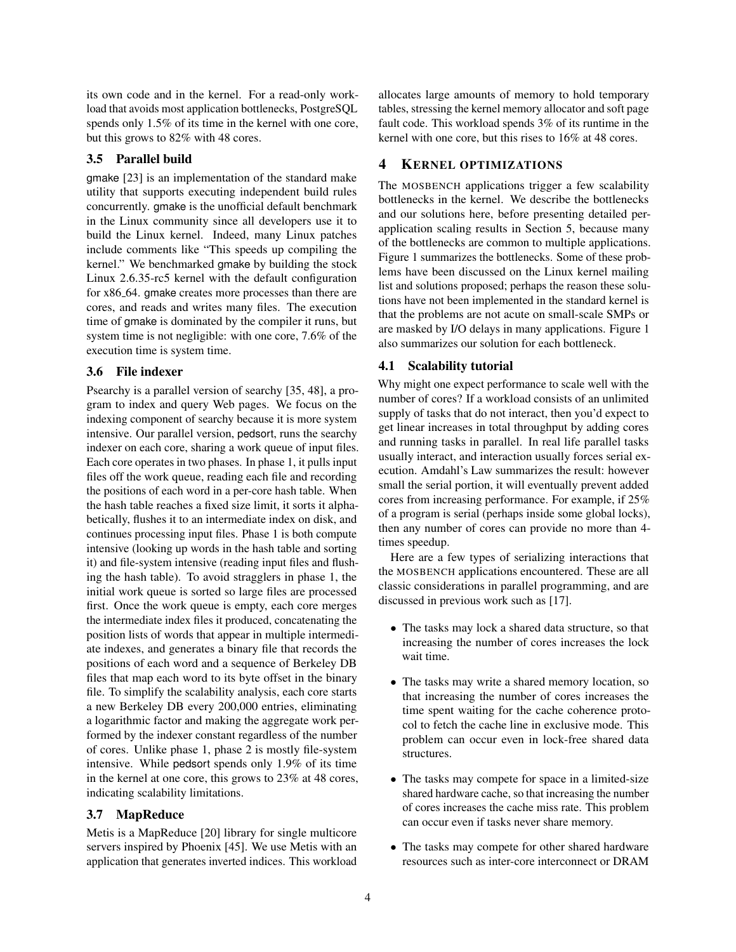its own code and in the kernel. For a read-only workload that avoids most application bottlenecks, PostgreSQL spends only 1.5% of its time in the kernel with one core, but this grows to 82% with 48 cores.

# 3.5 Parallel build

gmake [23] is an implementation of the standard make utility that supports executing independent build rules concurrently. gmake is the unofficial default benchmark in the Linux community since all developers use it to build the Linux kernel. Indeed, many Linux patches include comments like "This speeds up compiling the kernel." We benchmarked gmake by building the stock Linux 2.6.35-rc5 kernel with the default configuration for x86 64. gmake creates more processes than there are cores, and reads and writes many files. The execution time of gmake is dominated by the compiler it runs, but system time is not negligible: with one core, 7.6% of the execution time is system time.

## 3.6 File indexer

Psearchy is a parallel version of searchy [35, 48], a program to index and query Web pages. We focus on the indexing component of searchy because it is more system intensive. Our parallel version, pedsort, runs the searchy indexer on each core, sharing a work queue of input files. Each core operates in two phases. In phase 1, it pulls input files off the work queue, reading each file and recording the positions of each word in a per-core hash table. When the hash table reaches a fixed size limit, it sorts it alphabetically, flushes it to an intermediate index on disk, and continues processing input files. Phase 1 is both compute intensive (looking up words in the hash table and sorting it) and file-system intensive (reading input files and flushing the hash table). To avoid stragglers in phase 1, the initial work queue is sorted so large files are processed first. Once the work queue is empty, each core merges the intermediate index files it produced, concatenating the position lists of words that appear in multiple intermediate indexes, and generates a binary file that records the positions of each word and a sequence of Berkeley DB files that map each word to its byte offset in the binary file. To simplify the scalability analysis, each core starts a new Berkeley DB every 200,000 entries, eliminating a logarithmic factor and making the aggregate work performed by the indexer constant regardless of the number of cores. Unlike phase 1, phase 2 is mostly file-system intensive. While pedsort spends only 1.9% of its time in the kernel at one core, this grows to 23% at 48 cores, indicating scalability limitations.

## 3.7 MapReduce

Metis is a MapReduce [20] library for single multicore servers inspired by Phoenix [45]. We use Metis with an application that generates inverted indices. This workload allocates large amounts of memory to hold temporary tables, stressing the kernel memory allocator and soft page fault code. This workload spends 3% of its runtime in the kernel with one core, but this rises to 16% at 48 cores.

# 4 KERNEL OPTIMIZATIONS

The MOSBENCH applications trigger a few scalability bottlenecks in the kernel. We describe the bottlenecks and our solutions here, before presenting detailed perapplication scaling results in Section 5, because many of the bottlenecks are common to multiple applications. Figure 1 summarizes the bottlenecks. Some of these problems have been discussed on the Linux kernel mailing list and solutions proposed; perhaps the reason these solutions have not been implemented in the standard kernel is that the problems are not acute on small-scale SMPs or are masked by I/O delays in many applications. Figure 1 also summarizes our solution for each bottleneck.

### 4.1 Scalability tutorial

Why might one expect performance to scale well with the number of cores? If a workload consists of an unlimited supply of tasks that do not interact, then you'd expect to get linear increases in total throughput by adding cores and running tasks in parallel. In real life parallel tasks usually interact, and interaction usually forces serial execution. Amdahl's Law summarizes the result: however small the serial portion, it will eventually prevent added cores from increasing performance. For example, if 25% of a program is serial (perhaps inside some global locks), then any number of cores can provide no more than 4 times speedup.

Here are a few types of serializing interactions that the MOSBENCH applications encountered. These are all classic considerations in parallel programming, and are discussed in previous work such as [17].

- The tasks may lock a shared data structure, so that increasing the number of cores increases the lock wait time.
- The tasks may write a shared memory location, so that increasing the number of cores increases the time spent waiting for the cache coherence protocol to fetch the cache line in exclusive mode. This problem can occur even in lock-free shared data structures.
- The tasks may compete for space in a limited-size shared hardware cache, so that increasing the number of cores increases the cache miss rate. This problem can occur even if tasks never share memory.
- The tasks may compete for other shared hardware resources such as inter-core interconnect or DRAM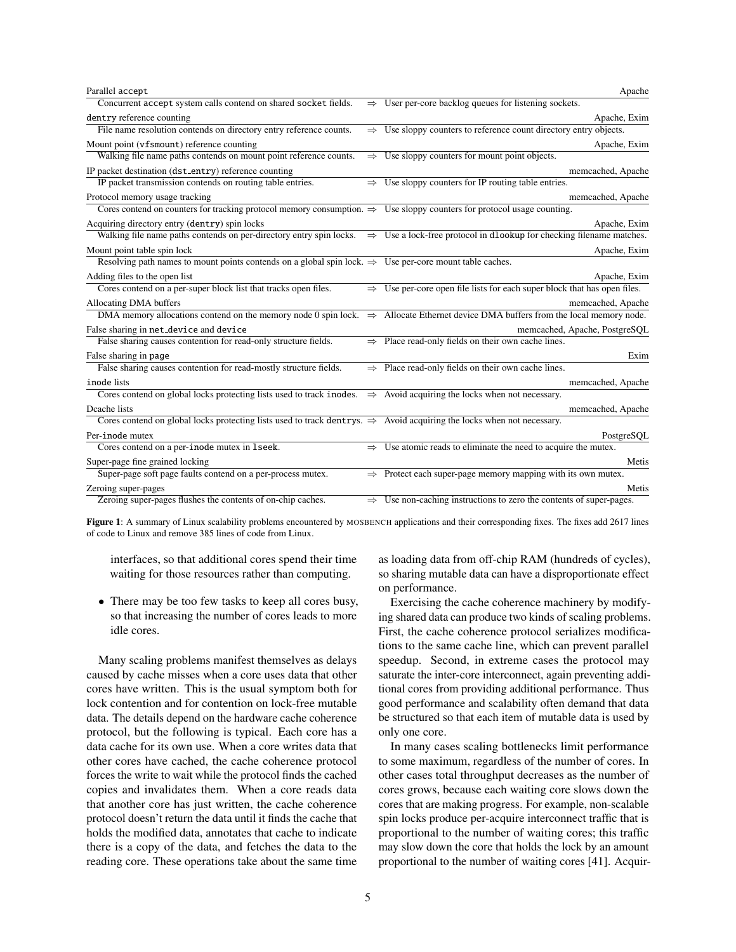| Parallel accept                                                                                                                    |               | Apache                                                                                                                                               |
|------------------------------------------------------------------------------------------------------------------------------------|---------------|------------------------------------------------------------------------------------------------------------------------------------------------------|
| Concurrent accept system calls contend on shared socket fields.                                                                    |               | $\Rightarrow$ User per-core backlog queues for listening sockets.                                                                                    |
| dentry reference counting                                                                                                          |               | Apache, Exim                                                                                                                                         |
| File name resolution contends on directory entry reference counts.                                                                 | $\Rightarrow$ | Use sloppy counters to reference count directory entry objects.                                                                                      |
| Mount point (vfsmount) reference counting                                                                                          |               | Apache, Exim                                                                                                                                         |
| Walking file name paths contends on mount point reference counts.                                                                  | $\Rightarrow$ | Use sloppy counters for mount point objects.                                                                                                         |
| IP packet destination (dst_entry) reference counting                                                                               |               | memcached, Apache                                                                                                                                    |
| IP packet transmission contends on routing table entries.                                                                          | $\Rightarrow$ | Use sloppy counters for IP routing table entries.                                                                                                    |
| Protocol memory usage tracking                                                                                                     |               | memcached, Apache                                                                                                                                    |
| Cores contend on counters for tracking protocol memory consumption. $\Rightarrow$ Use sloppy counters for protocol usage counting. |               |                                                                                                                                                      |
| Acquiring directory entry (dentry) spin locks                                                                                      |               | Apache, Exim                                                                                                                                         |
|                                                                                                                                    |               | Walking file name paths contends on per-directory entry spin locks. $\Rightarrow$ Use a lock-free protocol in dlookup for checking filename matches. |
| Mount point table spin lock                                                                                                        |               | Apache, Exim                                                                                                                                         |
| Resolving path names to mount points contends on a global spin lock. $\Rightarrow$ Use per-core mount table caches.                |               |                                                                                                                                                      |
| Adding files to the open list                                                                                                      |               | Apache, Exim                                                                                                                                         |
| Cores contend on a per-super block list that tracks open files.                                                                    | $\Rightarrow$ | Use per-core open file lists for each super block that has open files.                                                                               |
| Allocating DMA buffers                                                                                                             |               | memcached, Apache                                                                                                                                    |
|                                                                                                                                    |               | DMA memory allocations contend on the memory node 0 spin lock. $\Rightarrow$ Allocate Ethernet device DMA buffers from the local memory node.        |
| False sharing in net_device and device                                                                                             |               | memcached, Apache, PostgreSQL                                                                                                                        |
| False sharing causes contention for read-only structure fields.                                                                    | $\Rightarrow$ | Place read-only fields on their own cache lines.                                                                                                     |
| False sharing in page                                                                                                              |               | Exim                                                                                                                                                 |
| False sharing causes contention for read-mostly structure fields.                                                                  | $\Rightarrow$ | Place read-only fields on their own cache lines.                                                                                                     |
| inode lists                                                                                                                        |               | memcached, Apache                                                                                                                                    |
| Cores contend on global locks protecting lists used to track incodes. $\Rightarrow$ Avoid acquiring the locks when not necessary.  |               |                                                                                                                                                      |
| Dcache lists                                                                                                                       |               | memcached, Apache                                                                                                                                    |
| Cores contend on global locks protecting lists used to track dentrys. $\Rightarrow$ Avoid acquiring the locks when not necessary.  |               |                                                                                                                                                      |
| Per-inode mutex                                                                                                                    |               | PostgreSQL                                                                                                                                           |
| Cores contend on a per-inode mutex in 1seek.                                                                                       | $\Rightarrow$ | Use atomic reads to eliminate the need to acquire the mutex.                                                                                         |
| Super-page fine grained locking                                                                                                    |               | Metis                                                                                                                                                |
| Super-page soft page faults contend on a per-process mutex.                                                                        |               | $\Rightarrow$ Protect each super-page memory mapping with its own mutex.                                                                             |
| Zeroing super-pages                                                                                                                |               | Metis                                                                                                                                                |
| Zeroing super-pages flushes the contents of on-chip caches.                                                                        | $\Rightarrow$ | Use non-caching instructions to zero the contents of super-pages.                                                                                    |

Figure 1: A summary of Linux scalability problems encountered by MOSBENCH applications and their corresponding fixes. The fixes add 2617 lines of code to Linux and remove 385 lines of code from Linux.

interfaces, so that additional cores spend their time waiting for those resources rather than computing.

• There may be too few tasks to keep all cores busy, so that increasing the number of cores leads to more idle cores.

Many scaling problems manifest themselves as delays caused by cache misses when a core uses data that other cores have written. This is the usual symptom both for lock contention and for contention on lock-free mutable data. The details depend on the hardware cache coherence protocol, but the following is typical. Each core has a data cache for its own use. When a core writes data that other cores have cached, the cache coherence protocol forces the write to wait while the protocol finds the cached copies and invalidates them. When a core reads data that another core has just written, the cache coherence protocol doesn't return the data until it finds the cache that holds the modified data, annotates that cache to indicate there is a copy of the data, and fetches the data to the reading core. These operations take about the same time as loading data from off-chip RAM (hundreds of cycles), so sharing mutable data can have a disproportionate effect on performance.

Exercising the cache coherence machinery by modifying shared data can produce two kinds of scaling problems. First, the cache coherence protocol serializes modifications to the same cache line, which can prevent parallel speedup. Second, in extreme cases the protocol may saturate the inter-core interconnect, again preventing additional cores from providing additional performance. Thus good performance and scalability often demand that data be structured so that each item of mutable data is used by only one core.

In many cases scaling bottlenecks limit performance to some maximum, regardless of the number of cores. In other cases total throughput decreases as the number of cores grows, because each waiting core slows down the cores that are making progress. For example, non-scalable spin locks produce per-acquire interconnect traffic that is proportional to the number of waiting cores; this traffic may slow down the core that holds the lock by an amount proportional to the number of waiting cores [41]. Acquir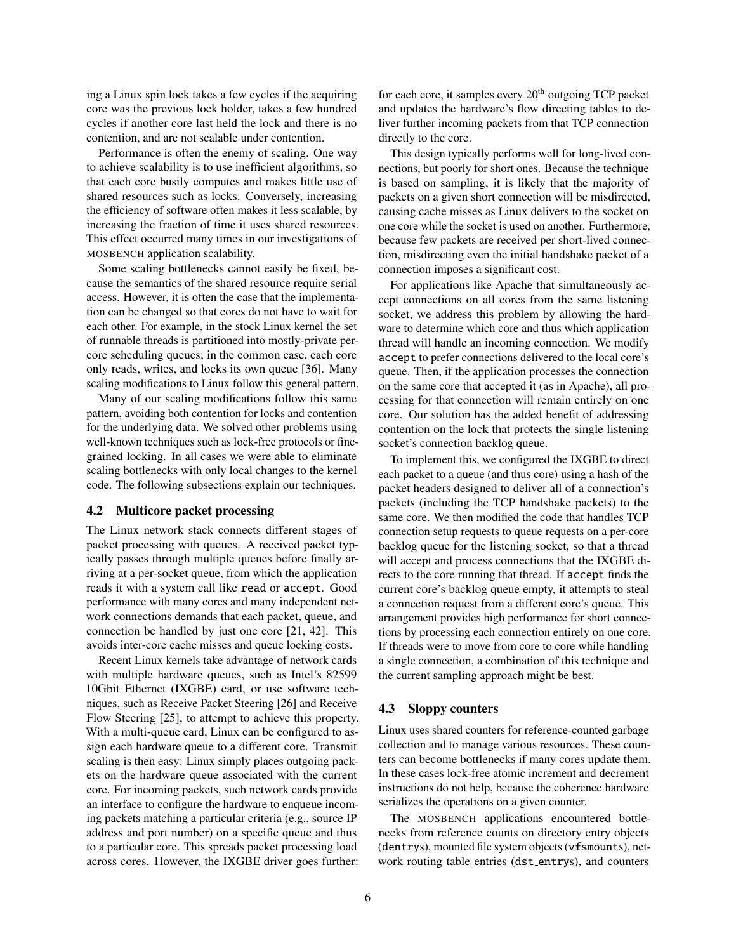ing a Linux spin lock takes a few cycles if the acquiring core was the previous lock holder, takes a few hundred cycles if another core last held the lock and there is no contention, and are not scalable under contention.

Performance is often the enemy of scaling. One way to achieve scalability is to use inefficient algorithms, so that each core busily computes and makes little use of shared resources such as locks. Conversely, increasing the efficiency of software often makes it less scalable, by increasing the fraction of time it uses shared resources. This effect occurred many times in our investigations of MOSBENCH application scalability.

Some scaling bottlenecks cannot easily be fixed, because the semantics of the shared resource require serial access. However, it is often the case that the implementation can be changed so that cores do not have to wait for each other. For example, in the stock Linux kernel the set of runnable threads is partitioned into mostly-private percore scheduling queues; in the common case, each core only reads, writes, and locks its own queue [36]. Many scaling modifications to Linux follow this general pattern.

Many of our scaling modifications follow this same pattern, avoiding both contention for locks and contention for the underlying data. We solved other problems using well-known techniques such as lock-free protocols or finegrained locking. In all cases we were able to eliminate scaling bottlenecks with only local changes to the kernel code. The following subsections explain our techniques.

#### 4.2 Multicore packet processing

The Linux network stack connects different stages of packet processing with queues. A received packet typically passes through multiple queues before finally arriving at a per-socket queue, from which the application reads it with a system call like read or accept. Good performance with many cores and many independent network connections demands that each packet, queue, and connection be handled by just one core [21, 42]. This avoids inter-core cache misses and queue locking costs.

Recent Linux kernels take advantage of network cards with multiple hardware queues, such as Intel's 82599 10Gbit Ethernet (IXGBE) card, or use software techniques, such as Receive Packet Steering [26] and Receive Flow Steering [25], to attempt to achieve this property. With a multi-queue card, Linux can be configured to assign each hardware queue to a different core. Transmit scaling is then easy: Linux simply places outgoing packets on the hardware queue associated with the current core. For incoming packets, such network cards provide an interface to configure the hardware to enqueue incoming packets matching a particular criteria (e.g., source IP address and port number) on a specific queue and thus to a particular core. This spreads packet processing load across cores. However, the IXGBE driver goes further:

for each core, it samples every  $20<sup>th</sup>$  outgoing TCP packet and updates the hardware's flow directing tables to deliver further incoming packets from that TCP connection directly to the core.

This design typically performs well for long-lived connections, but poorly for short ones. Because the technique is based on sampling, it is likely that the majority of packets on a given short connection will be misdirected, causing cache misses as Linux delivers to the socket on one core while the socket is used on another. Furthermore, because few packets are received per short-lived connection, misdirecting even the initial handshake packet of a connection imposes a significant cost.

For applications like Apache that simultaneously accept connections on all cores from the same listening socket, we address this problem by allowing the hardware to determine which core and thus which application thread will handle an incoming connection. We modify accept to prefer connections delivered to the local core's queue. Then, if the application processes the connection on the same core that accepted it (as in Apache), all processing for that connection will remain entirely on one core. Our solution has the added benefit of addressing contention on the lock that protects the single listening socket's connection backlog queue.

To implement this, we configured the IXGBE to direct each packet to a queue (and thus core) using a hash of the packet headers designed to deliver all of a connection's packets (including the TCP handshake packets) to the same core. We then modified the code that handles TCP connection setup requests to queue requests on a per-core backlog queue for the listening socket, so that a thread will accept and process connections that the IXGBE directs to the core running that thread. If accept finds the current core's backlog queue empty, it attempts to steal a connection request from a different core's queue. This arrangement provides high performance for short connections by processing each connection entirely on one core. If threads were to move from core to core while handling a single connection, a combination of this technique and the current sampling approach might be best.

#### 4.3 Sloppy counters

Linux uses shared counters for reference-counted garbage collection and to manage various resources. These counters can become bottlenecks if many cores update them. In these cases lock-free atomic increment and decrement instructions do not help, because the coherence hardware serializes the operations on a given counter.

The MOSBENCH applications encountered bottlenecks from reference counts on directory entry objects (dentrys), mounted file system objects (vfsmounts), network routing table entries (dst entrys), and counters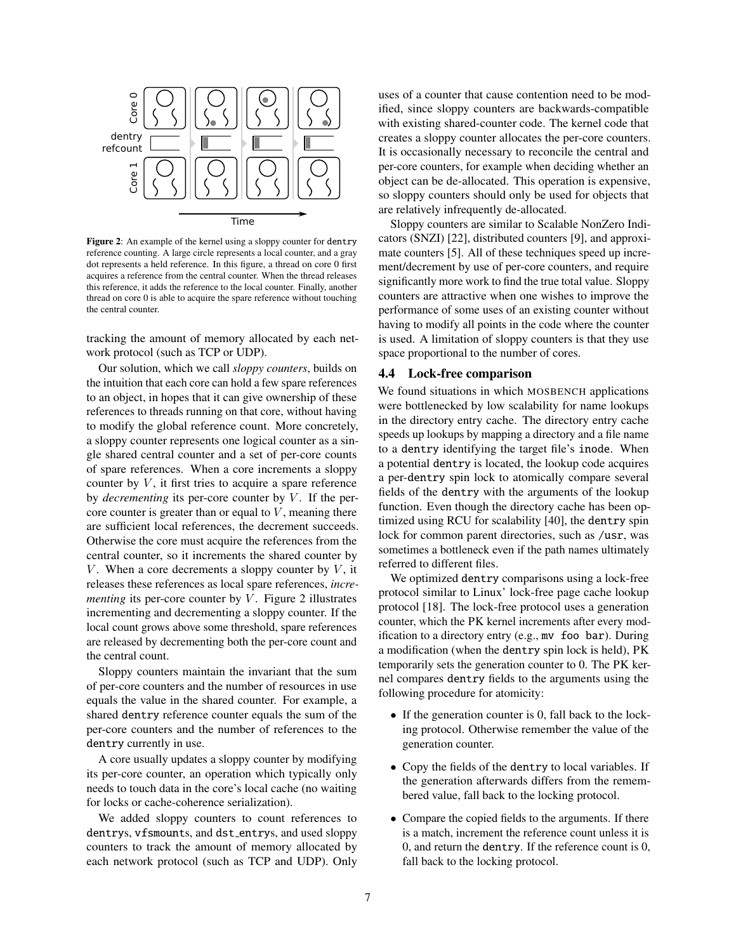

Figure 2: An example of the kernel using a sloppy counter for dentry reference counting. A large circle represents a local counter, and a gray dot represents a held reference. In this figure, a thread on core 0 first acquires a reference from the central counter. When the thread releases this reference, it adds the reference to the local counter. Finally, another thread on core 0 is able to acquire the spare reference without touching the central counter.

tracking the amount of memory allocated by each network protocol (such as TCP or UDP).

Our solution, which we call *sloppy counters*, builds on the intuition that each core can hold a few spare references to an object, in hopes that it can give ownership of these references to threads running on that core, without having to modify the global reference count. More concretely, a sloppy counter represents one logical counter as a single shared central counter and a set of per-core counts of spare references. When a core increments a sloppy counter by  $V$ , it first tries to acquire a spare reference by *decrementing* its per-core counter by V. If the percore counter is greater than or equal to  $V$ , meaning there are sufficient local references, the decrement succeeds. Otherwise the core must acquire the references from the central counter, so it increments the shared counter by V. When a core decrements a sloppy counter by  $V$ , it releases these references as local spare references, *incrementing* its per-core counter by  $V$ . Figure 2 illustrates incrementing and decrementing a sloppy counter. If the local count grows above some threshold, spare references are released by decrementing both the per-core count and the central count.

Sloppy counters maintain the invariant that the sum of per-core counters and the number of resources in use equals the value in the shared counter. For example, a shared dentry reference counter equals the sum of the per-core counters and the number of references to the dentry currently in use.

A core usually updates a sloppy counter by modifying its per-core counter, an operation which typically only needs to touch data in the core's local cache (no waiting for locks or cache-coherence serialization).

We added sloppy counters to count references to dentrys, vfsmounts, and dst\_entrys, and used sloppy counters to track the amount of memory allocated by each network protocol (such as TCP and UDP). Only uses of a counter that cause contention need to be modified, since sloppy counters are backwards-compatible with existing shared-counter code. The kernel code that creates a sloppy counter allocates the per-core counters. It is occasionally necessary to reconcile the central and per-core counters, for example when deciding whether an object can be de-allocated. This operation is expensive, so sloppy counters should only be used for objects that are relatively infrequently de-allocated.

Sloppy counters are similar to Scalable NonZero Indicators (SNZI) [22], distributed counters [9], and approximate counters [5]. All of these techniques speed up increment/decrement by use of per-core counters, and require significantly more work to find the true total value. Sloppy counters are attractive when one wishes to improve the performance of some uses of an existing counter without having to modify all points in the code where the counter is used. A limitation of sloppy counters is that they use space proportional to the number of cores.

#### 4.4 Lock-free comparison

We found situations in which MOSBENCH applications were bottlenecked by low scalability for name lookups in the directory entry cache. The directory entry cache speeds up lookups by mapping a directory and a file name to a dentry identifying the target file's inode. When a potential dentry is located, the lookup code acquires a per-dentry spin lock to atomically compare several fields of the dentry with the arguments of the lookup function. Even though the directory cache has been optimized using RCU for scalability [40], the dentry spin lock for common parent directories, such as /usr, was sometimes a bottleneck even if the path names ultimately referred to different files.

We optimized dentry comparisons using a lock-free protocol similar to Linux' lock-free page cache lookup protocol [18]. The lock-free protocol uses a generation counter, which the PK kernel increments after every modification to a directory entry (e.g., mv foo bar). During a modification (when the dentry spin lock is held), PK temporarily sets the generation counter to 0. The PK kernel compares dentry fields to the arguments using the following procedure for atomicity:

- If the generation counter is 0, fall back to the locking protocol. Otherwise remember the value of the generation counter.
- Copy the fields of the dentry to local variables. If the generation afterwards differs from the remembered value, fall back to the locking protocol.
- Compare the copied fields to the arguments. If there is a match, increment the reference count unless it is 0, and return the dentry. If the reference count is 0, fall back to the locking protocol.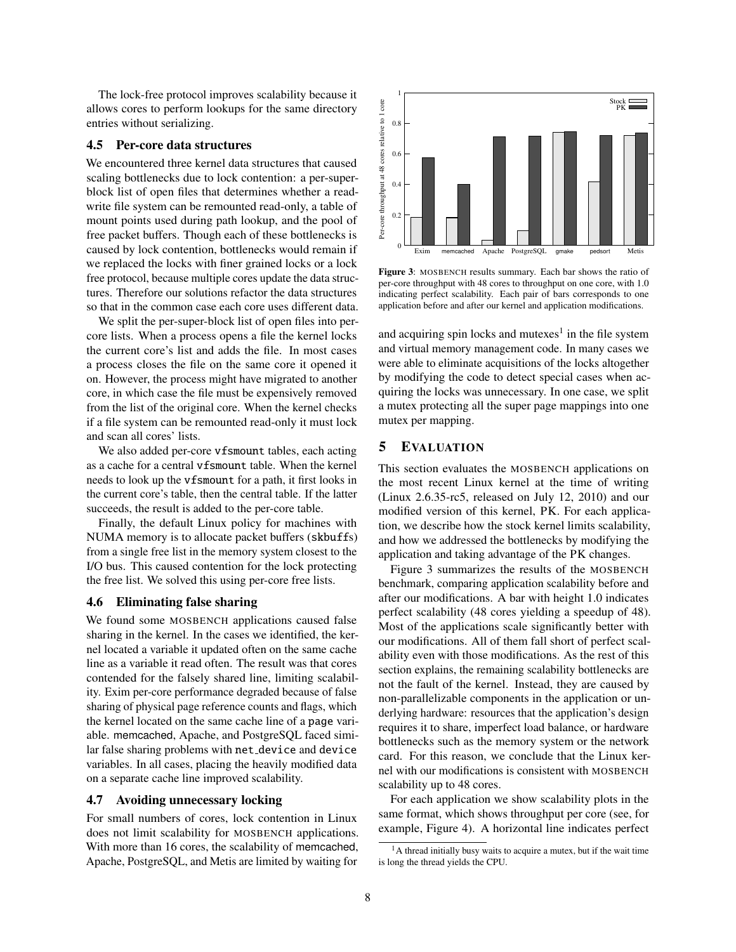The lock-free protocol improves scalability because it allows cores to perform lookups for the same directory entries without serializing.

#### 4.5 Per-core data structures

We encountered three kernel data structures that caused scaling bottlenecks due to lock contention: a per-superblock list of open files that determines whether a readwrite file system can be remounted read-only, a table of mount points used during path lookup, and the pool of free packet buffers. Though each of these bottlenecks is caused by lock contention, bottlenecks would remain if we replaced the locks with finer grained locks or a lock free protocol, because multiple cores update the data structures. Therefore our solutions refactor the data structures so that in the common case each core uses different data.

We split the per-super-block list of open files into percore lists. When a process opens a file the kernel locks the current core's list and adds the file. In most cases a process closes the file on the same core it opened it on. However, the process might have migrated to another core, in which case the file must be expensively removed from the list of the original core. When the kernel checks if a file system can be remounted read-only it must lock and scan all cores' lists.

We also added per-core vfsmount tables, each acting as a cache for a central vfsmount table. When the kernel needs to look up the vfsmount for a path, it first looks in the current core's table, then the central table. If the latter succeeds, the result is added to the per-core table.

Finally, the default Linux policy for machines with NUMA memory is to allocate packet buffers (skbuffs) from a single free list in the memory system closest to the I/O bus. This caused contention for the lock protecting the free list. We solved this using per-core free lists.

#### 4.6 Eliminating false sharing

We found some MOSBENCH applications caused false sharing in the kernel. In the cases we identified, the kernel located a variable it updated often on the same cache line as a variable it read often. The result was that cores contended for the falsely shared line, limiting scalability. Exim per-core performance degraded because of false sharing of physical page reference counts and flags, which the kernel located on the same cache line of a page variable. memcached, Apache, and PostgreSQL faced similar false sharing problems with net device and device variables. In all cases, placing the heavily modified data on a separate cache line improved scalability.

# 4.7 Avoiding unnecessary locking

For small numbers of cores, lock contention in Linux does not limit scalability for MOSBENCH applications. With more than 16 cores, the scalability of memcached, Apache, PostgreSQL, and Metis are limited by waiting for



Figure 3: MOSBENCH results summary. Each bar shows the ratio of per-core throughput with 48 cores to throughput on one core, with 1.0 indicating perfect scalability. Each pair of bars corresponds to one application before and after our kernel and application modifications.

and acquiring spin locks and mutexes<sup>1</sup> in the file system and virtual memory management code. In many cases we were able to eliminate acquisitions of the locks altogether by modifying the code to detect special cases when acquiring the locks was unnecessary. In one case, we split a mutex protecting all the super page mappings into one mutex per mapping.

# 5 EVALUATION

This section evaluates the MOSBENCH applications on the most recent Linux kernel at the time of writing (Linux 2.6.35-rc5, released on July 12, 2010) and our modified version of this kernel, PK. For each application, we describe how the stock kernel limits scalability, and how we addressed the bottlenecks by modifying the application and taking advantage of the PK changes.

Figure 3 summarizes the results of the MOSBENCH benchmark, comparing application scalability before and after our modifications. A bar with height 1.0 indicates perfect scalability (48 cores yielding a speedup of 48). Most of the applications scale significantly better with our modifications. All of them fall short of perfect scalability even with those modifications. As the rest of this section explains, the remaining scalability bottlenecks are not the fault of the kernel. Instead, they are caused by non-parallelizable components in the application or underlying hardware: resources that the application's design requires it to share, imperfect load balance, or hardware bottlenecks such as the memory system or the network card. For this reason, we conclude that the Linux kernel with our modifications is consistent with MOSBENCH scalability up to 48 cores.

For each application we show scalability plots in the same format, which shows throughput per core (see, for example, Figure 4). A horizontal line indicates perfect

<sup>&</sup>lt;sup>1</sup>A thread initially busy waits to acquire a mutex, but if the wait time is long the thread yields the CPU.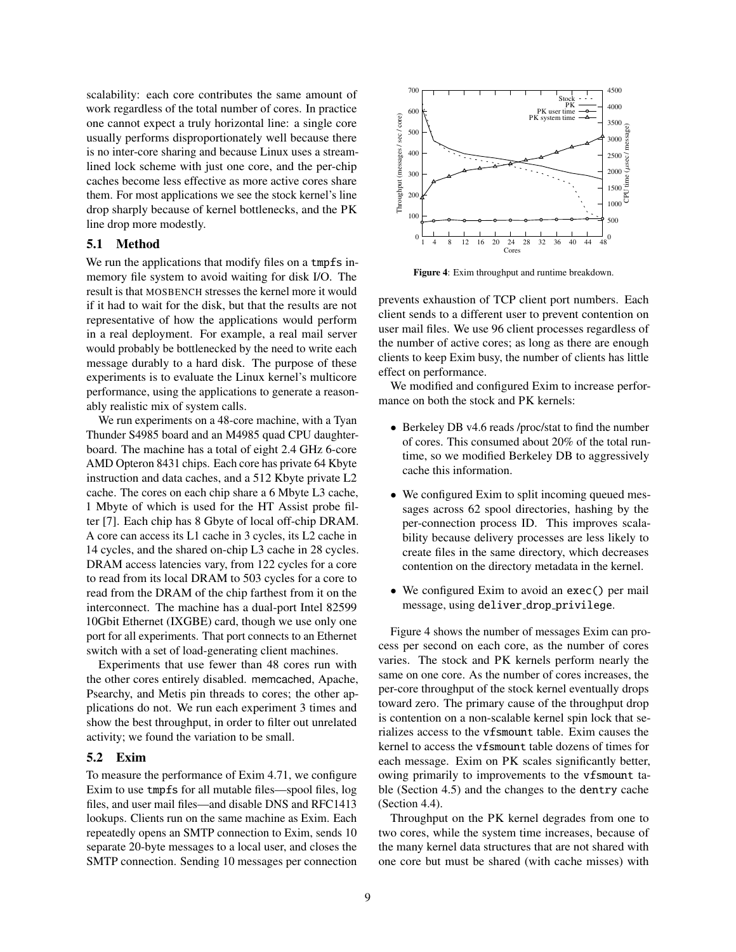scalability: each core contributes the same amount of work regardless of the total number of cores. In practice one cannot expect a truly horizontal line: a single core usually performs disproportionately well because there is no inter-core sharing and because Linux uses a streamlined lock scheme with just one core, and the per-chip caches become less effective as more active cores share them. For most applications we see the stock kernel's line drop sharply because of kernel bottlenecks, and the PK line drop more modestly.

# 5.1 Method

We run the applications that modify files on a tmpfs inmemory file system to avoid waiting for disk I/O. The result is that MOSBENCH stresses the kernel more it would if it had to wait for the disk, but that the results are not representative of how the applications would perform in a real deployment. For example, a real mail server would probably be bottlenecked by the need to write each message durably to a hard disk. The purpose of these experiments is to evaluate the Linux kernel's multicore performance, using the applications to generate a reasonably realistic mix of system calls.

We run experiments on a 48-core machine, with a Tyan Thunder S4985 board and an M4985 quad CPU daughterboard. The machine has a total of eight 2.4 GHz 6-core AMD Opteron 8431 chips. Each core has private 64 Kbyte instruction and data caches, and a 512 Kbyte private L2 cache. The cores on each chip share a 6 Mbyte L3 cache, 1 Mbyte of which is used for the HT Assist probe filter [7]. Each chip has 8 Gbyte of local off-chip DRAM. A core can access its L1 cache in 3 cycles, its L2 cache in 14 cycles, and the shared on-chip L3 cache in 28 cycles. DRAM access latencies vary, from 122 cycles for a core to read from its local DRAM to 503 cycles for a core to read from the DRAM of the chip farthest from it on the interconnect. The machine has a dual-port Intel 82599 10Gbit Ethernet (IXGBE) card, though we use only one port for all experiments. That port connects to an Ethernet switch with a set of load-generating client machines.

Experiments that use fewer than 48 cores run with the other cores entirely disabled. memcached, Apache, Psearchy, and Metis pin threads to cores; the other applications do not. We run each experiment 3 times and show the best throughput, in order to filter out unrelated activity; we found the variation to be small.

## 5.2 Exim

To measure the performance of Exim 4.71, we configure Exim to use tmpfs for all mutable files—spool files, log files, and user mail files—and disable DNS and RFC1413 lookups. Clients run on the same machine as Exim. Each repeatedly opens an SMTP connection to Exim, sends 10 separate 20-byte messages to a local user, and closes the SMTP connection. Sending 10 messages per connection



Figure 4: Exim throughput and runtime breakdown.

prevents exhaustion of TCP client port numbers. Each client sends to a different user to prevent contention on user mail files. We use 96 client processes regardless of the number of active cores; as long as there are enough clients to keep Exim busy, the number of clients has little effect on performance.

We modified and configured Exim to increase performance on both the stock and PK kernels:

- Berkeley DB v4.6 reads /proc/stat to find the number of cores. This consumed about 20% of the total runtime, so we modified Berkeley DB to aggressively cache this information.
- We configured Exim to split incoming queued messages across 62 spool directories, hashing by the per-connection process ID. This improves scalability because delivery processes are less likely to create files in the same directory, which decreases contention on the directory metadata in the kernel.
- We configured Exim to avoid an exec() per mail message, using deliver drop privilege.

Figure 4 shows the number of messages Exim can process per second on each core, as the number of cores varies. The stock and PK kernels perform nearly the same on one core. As the number of cores increases, the per-core throughput of the stock kernel eventually drops toward zero. The primary cause of the throughput drop is contention on a non-scalable kernel spin lock that serializes access to the vfsmount table. Exim causes the kernel to access the vfsmount table dozens of times for each message. Exim on PK scales significantly better, owing primarily to improvements to the vfsmount table (Section 4.5) and the changes to the dentry cache (Section 4.4).

Throughput on the PK kernel degrades from one to two cores, while the system time increases, because of the many kernel data structures that are not shared with one core but must be shared (with cache misses) with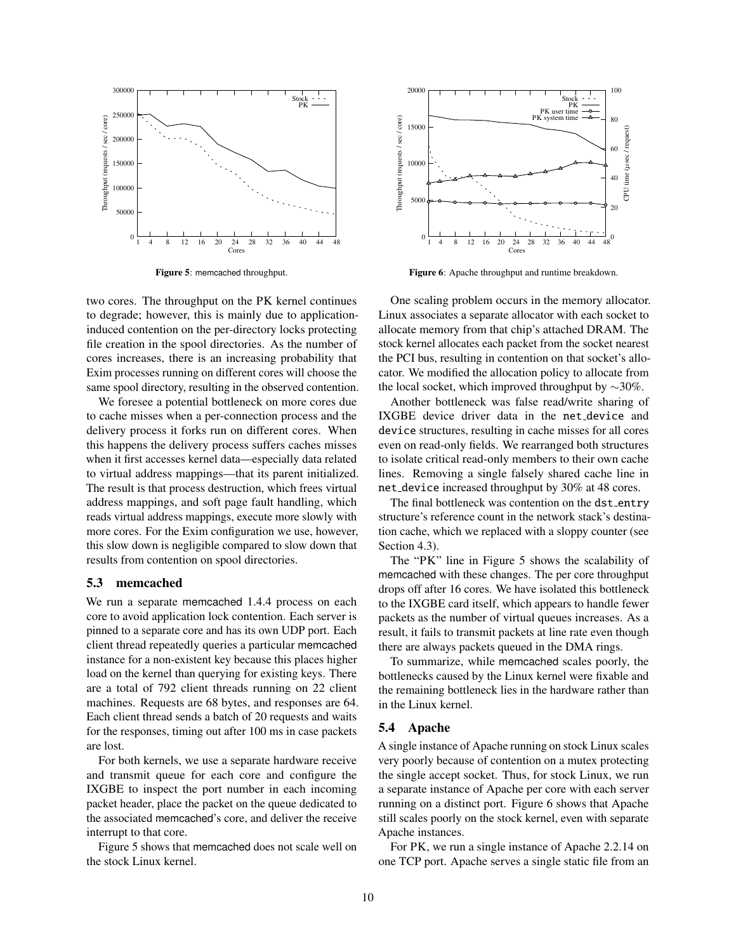

Figure 5: memcached throughput.

two cores. The throughput on the PK kernel continues to degrade; however, this is mainly due to applicationinduced contention on the per-directory locks protecting file creation in the spool directories. As the number of cores increases, there is an increasing probability that Exim processes running on different cores will choose the same spool directory, resulting in the observed contention.

We foresee a potential bottleneck on more cores due to cache misses when a per-connection process and the delivery process it forks run on different cores. When this happens the delivery process suffers caches misses when it first accesses kernel data—especially data related to virtual address mappings—that its parent initialized. The result is that process destruction, which frees virtual address mappings, and soft page fault handling, which reads virtual address mappings, execute more slowly with more cores. For the Exim configuration we use, however, this slow down is negligible compared to slow down that results from contention on spool directories.

#### 5.3 memcached

We run a separate memcached 1.4.4 process on each core to avoid application lock contention. Each server is pinned to a separate core and has its own UDP port. Each client thread repeatedly queries a particular memcached instance for a non-existent key because this places higher load on the kernel than querying for existing keys. There are a total of 792 client threads running on 22 client machines. Requests are 68 bytes, and responses are 64. Each client thread sends a batch of 20 requests and waits for the responses, timing out after 100 ms in case packets are lost.

For both kernels, we use a separate hardware receive and transmit queue for each core and configure the IXGBE to inspect the port number in each incoming packet header, place the packet on the queue dedicated to the associated memcached's core, and deliver the receive interrupt to that core.

Figure 5 shows that memcached does not scale well on the stock Linux kernel.



Figure 6: Apache throughput and runtime breakdown.

One scaling problem occurs in the memory allocator. Linux associates a separate allocator with each socket to allocate memory from that chip's attached DRAM. The stock kernel allocates each packet from the socket nearest the PCI bus, resulting in contention on that socket's allocator. We modified the allocation policy to allocate from the local socket, which improved throughput by  $\sim$ 30%.

Another bottleneck was false read/write sharing of IXGBE device driver data in the net device and device structures, resulting in cache misses for all cores even on read-only fields. We rearranged both structures to isolate critical read-only members to their own cache lines. Removing a single falsely shared cache line in net device increased throughput by 30% at 48 cores.

The final bottleneck was contention on the dst\_entry structure's reference count in the network stack's destination cache, which we replaced with a sloppy counter (see Section 4.3).

The "PK" line in Figure 5 shows the scalability of memcached with these changes. The per core throughput drops off after 16 cores. We have isolated this bottleneck to the IXGBE card itself, which appears to handle fewer packets as the number of virtual queues increases. As a result, it fails to transmit packets at line rate even though there are always packets queued in the DMA rings.

To summarize, while memcached scales poorly, the bottlenecks caused by the Linux kernel were fixable and the remaining bottleneck lies in the hardware rather than in the Linux kernel.

## 5.4 Apache

A single instance of Apache running on stock Linux scales very poorly because of contention on a mutex protecting the single accept socket. Thus, for stock Linux, we run a separate instance of Apache per core with each server running on a distinct port. Figure 6 shows that Apache still scales poorly on the stock kernel, even with separate Apache instances.

For PK, we run a single instance of Apache 2.2.14 on one TCP port. Apache serves a single static file from an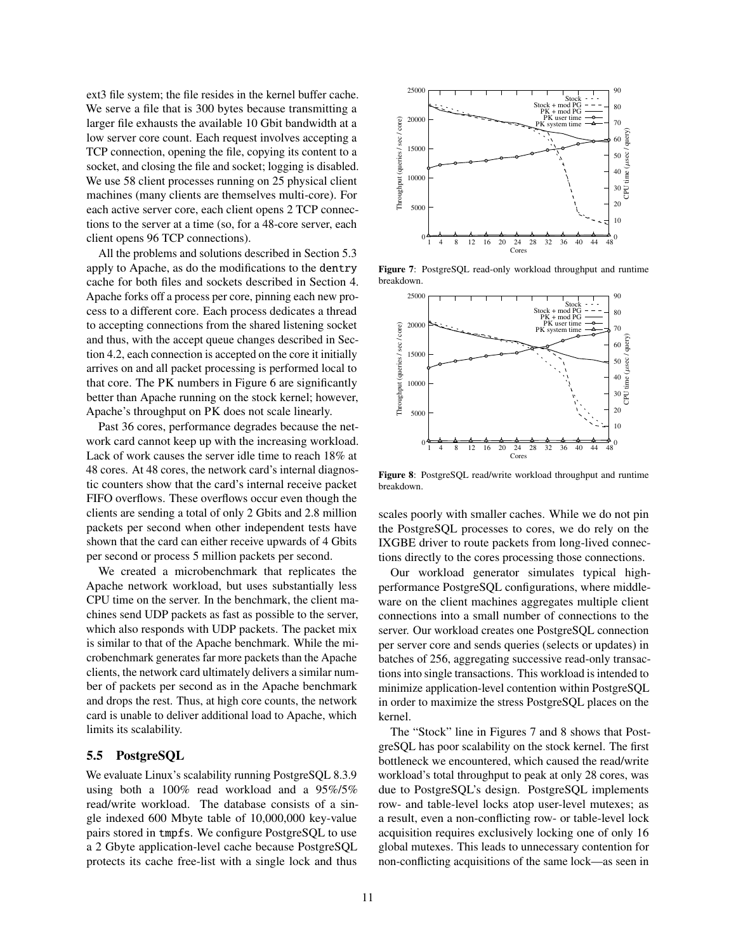ext3 file system; the file resides in the kernel buffer cache. We serve a file that is 300 bytes because transmitting a larger file exhausts the available 10 Gbit bandwidth at a low server core count. Each request involves accepting a TCP connection, opening the file, copying its content to a socket, and closing the file and socket; logging is disabled. We use 58 client processes running on 25 physical client machines (many clients are themselves multi-core). For each active server core, each client opens 2 TCP connections to the server at a time (so, for a 48-core server, each client opens 96 TCP connections).

All the problems and solutions described in Section 5.3 apply to Apache, as do the modifications to the dentry cache for both files and sockets described in Section 4. Apache forks off a process per core, pinning each new process to a different core. Each process dedicates a thread to accepting connections from the shared listening socket and thus, with the accept queue changes described in Section 4.2, each connection is accepted on the core it initially arrives on and all packet processing is performed local to that core. The PK numbers in Figure 6 are significantly better than Apache running on the stock kernel; however, Apache's throughput on PK does not scale linearly.

Past 36 cores, performance degrades because the network card cannot keep up with the increasing workload. Lack of work causes the server idle time to reach 18% at 48 cores. At 48 cores, the network card's internal diagnostic counters show that the card's internal receive packet FIFO overflows. These overflows occur even though the clients are sending a total of only 2 Gbits and 2.8 million packets per second when other independent tests have shown that the card can either receive upwards of 4 Gbits per second or process 5 million packets per second.

We created a microbenchmark that replicates the Apache network workload, but uses substantially less CPU time on the server. In the benchmark, the client machines send UDP packets as fast as possible to the server, which also responds with UDP packets. The packet mix is similar to that of the Apache benchmark. While the microbenchmark generates far more packets than the Apache clients, the network card ultimately delivers a similar number of packets per second as in the Apache benchmark and drops the rest. Thus, at high core counts, the network card is unable to deliver additional load to Apache, which limits its scalability.

# 5.5 PostgreSQL

We evaluate Linux's scalability running PostgreSQL 8.3.9 using both a 100% read workload and a 95%/5% read/write workload. The database consists of a single indexed 600 Mbyte table of 10,000,000 key-value pairs stored in tmpfs. We configure PostgreSQL to use a 2 Gbyte application-level cache because PostgreSQL protects its cache free-list with a single lock and thus



Figure 7: PostgreSQL read-only workload throughput and runtime breakdown.



Figure 8: PostgreSQL read/write workload throughput and runtime breakdown.

scales poorly with smaller caches. While we do not pin the PostgreSQL processes to cores, we do rely on the IXGBE driver to route packets from long-lived connections directly to the cores processing those connections.

Our workload generator simulates typical highperformance PostgreSQL configurations, where middleware on the client machines aggregates multiple client connections into a small number of connections to the server. Our workload creates one PostgreSQL connection per server core and sends queries (selects or updates) in batches of 256, aggregating successive read-only transactions into single transactions. This workload is intended to minimize application-level contention within PostgreSQL in order to maximize the stress PostgreSQL places on the kernel.

The "Stock" line in Figures 7 and 8 shows that PostgreSQL has poor scalability on the stock kernel. The first bottleneck we encountered, which caused the read/write workload's total throughput to peak at only 28 cores, was due to PostgreSQL's design. PostgreSQL implements row- and table-level locks atop user-level mutexes; as a result, even a non-conflicting row- or table-level lock acquisition requires exclusively locking one of only 16 global mutexes. This leads to unnecessary contention for non-conflicting acquisitions of the same lock—as seen in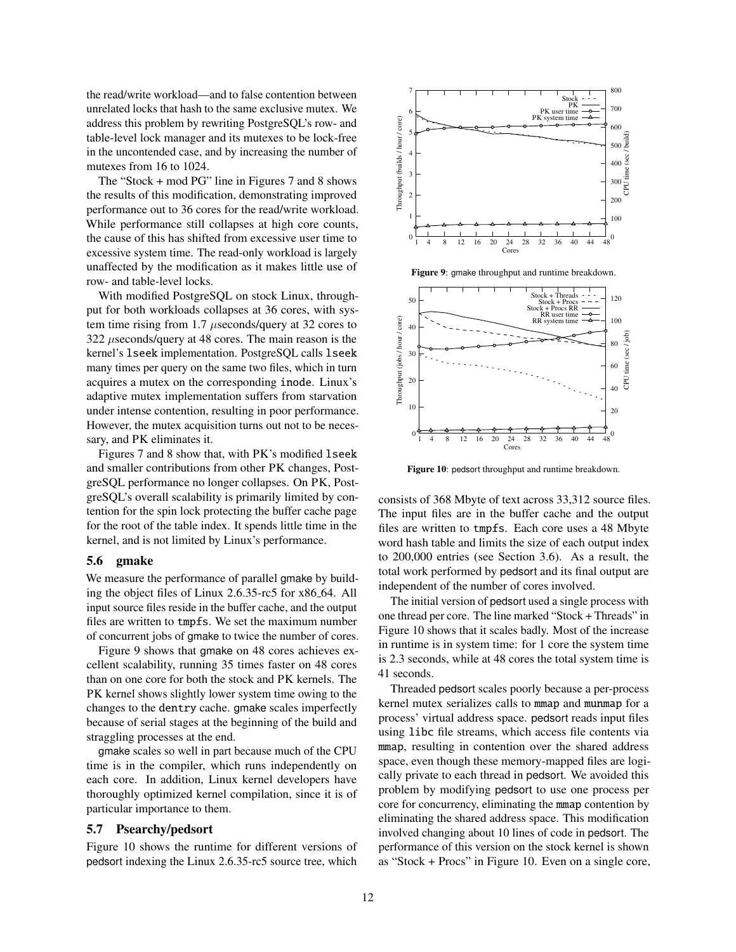the read/write workload—and to false contention between unrelated locks that hash to the same exclusive mutex. We address this problem by rewriting PostgreSQL's row- and table-level lock manager and its mutexes to be lock-free in the uncontended case, and by increasing the number of mutexes from 16 to 1024.

The "Stock + mod PG" line in Figures 7 and 8 shows the results of this modification, demonstrating improved performance out to 36 cores for the read/write workload. While performance still collapses at high core counts, the cause of this has shifted from excessive user time to excessive system time. The read-only workload is largely unaffected by the modification as it makes little use of row- and table-level locks.

With modified PostgreSQL on stock Linux, throughput for both workloads collapses at 36 cores, with system time rising from 1.7 µseconds/query at 32 cores to 322 *useconds/query at 48 cores. The main reason is the* kernel's lseek implementation. PostgreSQL calls lseek many times per query on the same two files, which in turn acquires a mutex on the corresponding inode. Linux's adaptive mutex implementation suffers from starvation under intense contention, resulting in poor performance. However, the mutex acquisition turns out not to be necessary, and PK eliminates it.

Figures 7 and 8 show that, with PK's modified lseek and smaller contributions from other PK changes, PostgreSQL performance no longer collapses. On PK, PostgreSQL's overall scalability is primarily limited by contention for the spin lock protecting the buffer cache page for the root of the table index. It spends little time in the kernel, and is not limited by Linux's performance.

#### 5.6 gmake

We measure the performance of parallel gmake by building the object files of Linux 2.6.35-rc5 for x86 64. All input source files reside in the buffer cache, and the output files are written to tmpfs. We set the maximum number of concurrent jobs of gmake to twice the number of cores.

Figure 9 shows that gmake on 48 cores achieves excellent scalability, running 35 times faster on 48 cores than on one core for both the stock and PK kernels. The PK kernel shows slightly lower system time owing to the changes to the dentry cache. gmake scales imperfectly because of serial stages at the beginning of the build and straggling processes at the end.

gmake scales so well in part because much of the CPU time is in the compiler, which runs independently on each core. In addition, Linux kernel developers have thoroughly optimized kernel compilation, since it is of particular importance to them.

#### 5.7 Psearchy/pedsort

Figure 10 shows the runtime for different versions of pedsort indexing the Linux 2.6.35-rc5 source tree, which



Figure 9: gmake throughput and runtime breakdown.



Figure 10: pedsort throughput and runtime breakdown.

consists of 368 Mbyte of text across 33,312 source files. The input files are in the buffer cache and the output files are written to tmpfs. Each core uses a 48 Mbyte word hash table and limits the size of each output index to 200,000 entries (see Section 3.6). As a result, the total work performed by pedsort and its final output are independent of the number of cores involved.

The initial version of pedsort used a single process with one thread per core. The line marked "Stock + Threads" in Figure 10 shows that it scales badly. Most of the increase in runtime is in system time: for 1 core the system time is 2.3 seconds, while at 48 cores the total system time is 41 seconds.

Threaded pedsort scales poorly because a per-process kernel mutex serializes calls to mmap and munmap for a process' virtual address space. pedsort reads input files using libc file streams, which access file contents via mmap, resulting in contention over the shared address space, even though these memory-mapped files are logically private to each thread in pedsort. We avoided this problem by modifying pedsort to use one process per core for concurrency, eliminating the mmap contention by eliminating the shared address space. This modification involved changing about 10 lines of code in pedsort. The performance of this version on the stock kernel is shown as "Stock + Procs" in Figure 10. Even on a single core,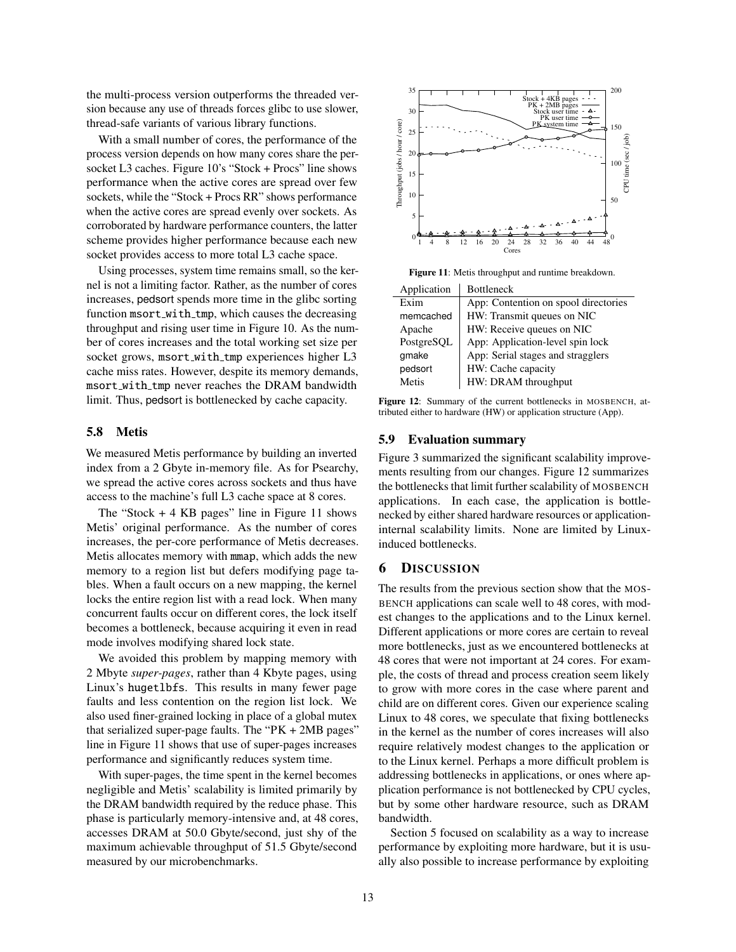the multi-process version outperforms the threaded version because any use of threads forces glibc to use slower, thread-safe variants of various library functions.

With a small number of cores, the performance of the process version depends on how many cores share the persocket L3 caches. Figure 10's "Stock + Procs" line shows performance when the active cores are spread over few sockets, while the "Stock + Procs RR" shows performance when the active cores are spread evenly over sockets. As corroborated by hardware performance counters, the latter scheme provides higher performance because each new socket provides access to more total L3 cache space.

Using processes, system time remains small, so the kernel is not a limiting factor. Rather, as the number of cores increases, pedsort spends more time in the glibc sorting function msort with tmp, which causes the decreasing throughput and rising user time in Figure 10. As the number of cores increases and the total working set size per socket grows, msort\_with\_tmp experiences higher L3 cache miss rates. However, despite its memory demands, msort with tmp never reaches the DRAM bandwidth limit. Thus, pedsort is bottlenecked by cache capacity.

#### 5.8 Metis

We measured Metis performance by building an inverted index from a 2 Gbyte in-memory file. As for Psearchy, we spread the active cores across sockets and thus have access to the machine's full L3 cache space at 8 cores.

The "Stock  $+4$  KB pages" line in Figure 11 shows Metis' original performance. As the number of cores increases, the per-core performance of Metis decreases. Metis allocates memory with mmap, which adds the new memory to a region list but defers modifying page tables. When a fault occurs on a new mapping, the kernel locks the entire region list with a read lock. When many concurrent faults occur on different cores, the lock itself becomes a bottleneck, because acquiring it even in read mode involves modifying shared lock state.

We avoided this problem by mapping memory with 2 Mbyte *super-pages*, rather than 4 Kbyte pages, using Linux's hugetlbfs. This results in many fewer page faults and less contention on the region list lock. We also used finer-grained locking in place of a global mutex that serialized super-page faults. The " $PK + 2MB$  pages" line in Figure 11 shows that use of super-pages increases performance and significantly reduces system time.

With super-pages, the time spent in the kernel becomes negligible and Metis' scalability is limited primarily by the DRAM bandwidth required by the reduce phase. This phase is particularly memory-intensive and, at 48 cores, accesses DRAM at 50.0 Gbyte/second, just shy of the maximum achievable throughput of 51.5 Gbyte/second measured by our microbenchmarks.



Figure 11: Metis throughput and runtime breakdown.

| Application | <b>Bottleneck</b>                    |
|-------------|--------------------------------------|
| Exim        | App: Contention on spool directories |
| memcached   | HW: Transmit queues on NIC           |
| Apache      | HW: Receive queues on NIC            |
| PostgreSQL  | App: Application-level spin lock     |
| gmake       | App: Serial stages and stragglers    |
| pedsort     | HW: Cache capacity                   |
| Metis       | HW: DRAM throughput                  |
|             |                                      |

Figure 12: Summary of the current bottlenecks in MOSBENCH, attributed either to hardware (HW) or application structure (App).

#### 5.9 Evaluation summary

Figure 3 summarized the significant scalability improvements resulting from our changes. Figure 12 summarizes the bottlenecks that limit further scalability of MOSBENCH applications. In each case, the application is bottlenecked by either shared hardware resources or applicationinternal scalability limits. None are limited by Linuxinduced bottlenecks.

## 6 DISCUSSION

The results from the previous section show that the MOS-BENCH applications can scale well to 48 cores, with modest changes to the applications and to the Linux kernel. Different applications or more cores are certain to reveal more bottlenecks, just as we encountered bottlenecks at 48 cores that were not important at 24 cores. For example, the costs of thread and process creation seem likely to grow with more cores in the case where parent and child are on different cores. Given our experience scaling Linux to 48 cores, we speculate that fixing bottlenecks in the kernel as the number of cores increases will also require relatively modest changes to the application or to the Linux kernel. Perhaps a more difficult problem is addressing bottlenecks in applications, or ones where application performance is not bottlenecked by CPU cycles, but by some other hardware resource, such as DRAM bandwidth.

Section 5 focused on scalability as a way to increase performance by exploiting more hardware, but it is usually also possible to increase performance by exploiting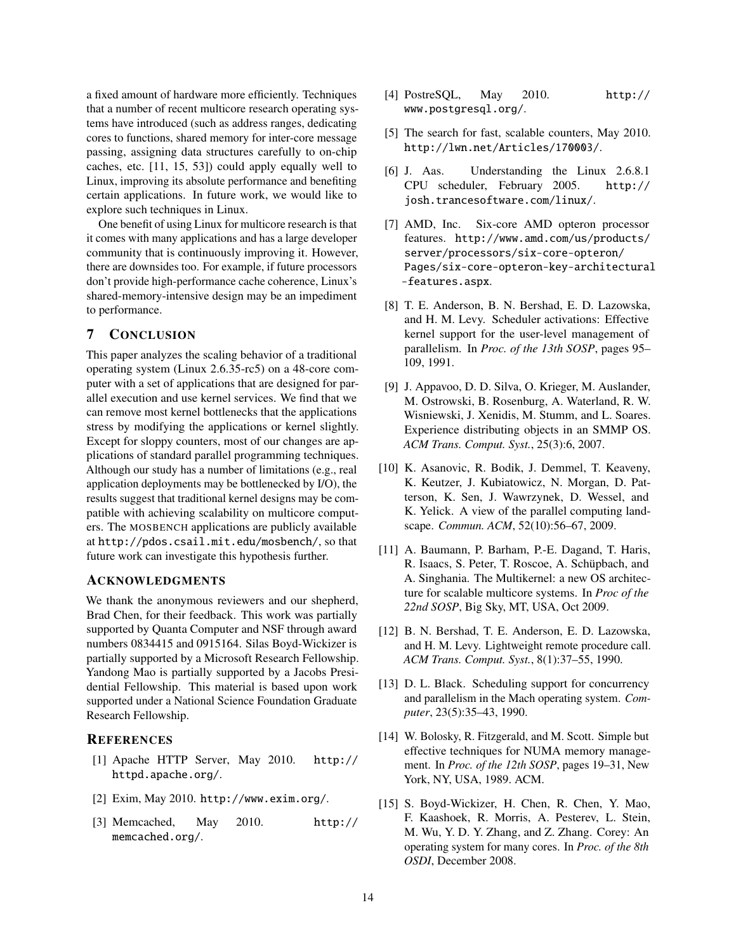a fixed amount of hardware more efficiently. Techniques that a number of recent multicore research operating systems have introduced (such as address ranges, dedicating cores to functions, shared memory for inter-core message passing, assigning data structures carefully to on-chip caches, etc. [11, 15, 53]) could apply equally well to Linux, improving its absolute performance and benefiting certain applications. In future work, we would like to explore such techniques in Linux.

One benefit of using Linux for multicore research is that it comes with many applications and has a large developer community that is continuously improving it. However, there are downsides too. For example, if future processors don't provide high-performance cache coherence, Linux's shared-memory-intensive design may be an impediment to performance.

# 7 CONCLUSION

This paper analyzes the scaling behavior of a traditional operating system (Linux 2.6.35-rc5) on a 48-core computer with a set of applications that are designed for parallel execution and use kernel services. We find that we can remove most kernel bottlenecks that the applications stress by modifying the applications or kernel slightly. Except for sloppy counters, most of our changes are applications of standard parallel programming techniques. Although our study has a number of limitations (e.g., real application deployments may be bottlenecked by I/O), the results suggest that traditional kernel designs may be compatible with achieving scalability on multicore computers. The MOSBENCH applications are publicly available at http://pdos.csail.mit.edu/mosbench/, so that future work can investigate this hypothesis further.

## ACKNOWLEDGMENTS

We thank the anonymous reviewers and our shepherd, Brad Chen, for their feedback. This work was partially supported by Quanta Computer and NSF through award numbers 0834415 and 0915164. Silas Boyd-Wickizer is partially supported by a Microsoft Research Fellowship. Yandong Mao is partially supported by a Jacobs Presidential Fellowship. This material is based upon work supported under a National Science Foundation Graduate Research Fellowship.

# **REFERENCES**

- [1] Apache HTTP Server, May 2010. http:// httpd.apache.org/.
- [2] Exim, May 2010. http://www.exim.org/.
- [3] Memcached, May 2010. http:// memcached.org/.
- [4] PostreSQL, May 2010. http:// www.postgresql.org/.
- [5] The search for fast, scalable counters, May 2010. http://lwn.net/Articles/170003/.
- [6] J. Aas. Understanding the Linux 2.6.8.1 CPU scheduler, February 2005. http:// josh.trancesoftware.com/linux/.
- [7] AMD, Inc. Six-core AMD opteron processor features. http://www.amd.com/us/products/ server/processors/six-core-opteron/ Pages/six-core-opteron-key-architectural -features.aspx.
- [8] T. E. Anderson, B. N. Bershad, E. D. Lazowska, and H. M. Levy. Scheduler activations: Effective kernel support for the user-level management of parallelism. In *Proc. of the 13th SOSP*, pages 95– 109, 1991.
- [9] J. Appavoo, D. D. Silva, O. Krieger, M. Auslander, M. Ostrowski, B. Rosenburg, A. Waterland, R. W. Wisniewski, J. Xenidis, M. Stumm, and L. Soares. Experience distributing objects in an SMMP OS. *ACM Trans. Comput. Syst.*, 25(3):6, 2007.
- [10] K. Asanovic, R. Bodik, J. Demmel, T. Keaveny, K. Keutzer, J. Kubiatowicz, N. Morgan, D. Patterson, K. Sen, J. Wawrzynek, D. Wessel, and K. Yelick. A view of the parallel computing landscape. *Commun. ACM*, 52(10):56–67, 2009.
- [11] A. Baumann, P. Barham, P.-E. Dagand, T. Haris, R. Isaacs, S. Peter, T. Roscoe, A. Schüpbach, and A. Singhania. The Multikernel: a new OS architecture for scalable multicore systems. In *Proc of the 22nd SOSP*, Big Sky, MT, USA, Oct 2009.
- [12] B. N. Bershad, T. E. Anderson, E. D. Lazowska, and H. M. Levy. Lightweight remote procedure call. *ACM Trans. Comput. Syst.*, 8(1):37–55, 1990.
- [13] D. L. Black. Scheduling support for concurrency and parallelism in the Mach operating system. *Computer*, 23(5):35–43, 1990.
- [14] W. Bolosky, R. Fitzgerald, and M. Scott. Simple but effective techniques for NUMA memory management. In *Proc. of the 12th SOSP*, pages 19–31, New York, NY, USA, 1989. ACM.
- [15] S. Boyd-Wickizer, H. Chen, R. Chen, Y. Mao, F. Kaashoek, R. Morris, A. Pesterev, L. Stein, M. Wu, Y. D. Y. Zhang, and Z. Zhang. Corey: An operating system for many cores. In *Proc. of the 8th OSDI*, December 2008.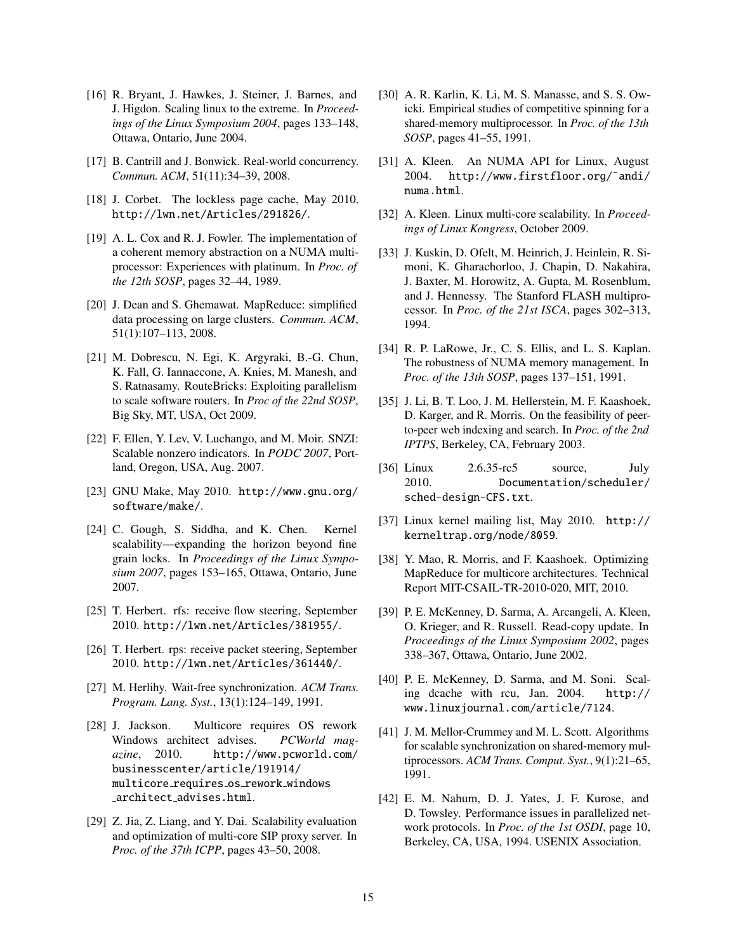- [16] R. Bryant, J. Hawkes, J. Steiner, J. Barnes, and J. Higdon. Scaling linux to the extreme. In *Proceedings of the Linux Symposium 2004*, pages 133–148, Ottawa, Ontario, June 2004.
- [17] B. Cantrill and J. Bonwick. Real-world concurrency. *Commun. ACM*, 51(11):34–39, 2008.
- [18] J. Corbet. The lockless page cache, May 2010. http://lwn.net/Articles/291826/.
- [19] A. L. Cox and R. J. Fowler. The implementation of a coherent memory abstraction on a NUMA multiprocessor: Experiences with platinum. In *Proc. of the 12th SOSP*, pages 32–44, 1989.
- [20] J. Dean and S. Ghemawat. MapReduce: simplified data processing on large clusters. *Commun. ACM*, 51(1):107–113, 2008.
- [21] M. Dobrescu, N. Egi, K. Argyraki, B.-G. Chun, K. Fall, G. Iannaccone, A. Knies, M. Manesh, and S. Ratnasamy. RouteBricks: Exploiting parallelism to scale software routers. In *Proc of the 22nd SOSP*, Big Sky, MT, USA, Oct 2009.
- [22] F. Ellen, Y. Lev, V. Luchango, and M. Moir. SNZI: Scalable nonzero indicators. In *PODC 2007*, Portland, Oregon, USA, Aug. 2007.
- [23] GNU Make, May 2010. http://www.gnu.org/ software/make/.
- [24] C. Gough, S. Siddha, and K. Chen. Kernel scalability—expanding the horizon beyond fine grain locks. In *Proceedings of the Linux Symposium 2007*, pages 153–165, Ottawa, Ontario, June 2007.
- [25] T. Herbert. rfs: receive flow steering, September 2010. http://lwn.net/Articles/381955/.
- [26] T. Herbert. rps: receive packet steering, September 2010. http://lwn.net/Articles/361440/.
- [27] M. Herlihy. Wait-free synchronization. *ACM Trans. Program. Lang. Syst.*, 13(1):124–149, 1991.
- [28] J. Jackson. Multicore requires OS rework Windows architect advises. *PCWorld magazine*, 2010. http://www.pcworld.com/ businesscenter/article/191914/ multicore requires os rework windows architect advises.html.
- [29] Z. Jia, Z. Liang, and Y. Dai. Scalability evaluation and optimization of multi-core SIP proxy server. In *Proc. of the 37th ICPP*, pages 43–50, 2008.
- [30] A. R. Karlin, K. Li, M. S. Manasse, and S. S. Owicki. Empirical studies of competitive spinning for a shared-memory multiprocessor. In *Proc. of the 13th SOSP*, pages 41–55, 1991.
- [31] A. Kleen. An NUMA API for Linux, August 2004. http://www.firstfloor.org/˜andi/ numa.html.
- [32] A. Kleen. Linux multi-core scalability. In *Proceedings of Linux Kongress*, October 2009.
- [33] J. Kuskin, D. Ofelt, M. Heinrich, J. Heinlein, R. Simoni, K. Gharachorloo, J. Chapin, D. Nakahira, J. Baxter, M. Horowitz, A. Gupta, M. Rosenblum, and J. Hennessy. The Stanford FLASH multiprocessor. In *Proc. of the 21st ISCA*, pages 302–313, 1994.
- [34] R. P. LaRowe, Jr., C. S. Ellis, and L. S. Kaplan. The robustness of NUMA memory management. In *Proc. of the 13th SOSP*, pages 137–151, 1991.
- [35] J. Li, B. T. Loo, J. M. Hellerstein, M. F. Kaashoek, D. Karger, and R. Morris. On the feasibility of peerto-peer web indexing and search. In *Proc. of the 2nd IPTPS*, Berkeley, CA, February 2003.
- [36] Linux 2.6.35-rc5 source, July 2010. Documentation/scheduler/ sched-design-CFS.txt.
- [37] Linux kernel mailing list, May 2010. http:// kerneltrap.org/node/8059.
- [38] Y. Mao, R. Morris, and F. Kaashoek. Optimizing MapReduce for multicore architectures. Technical Report MIT-CSAIL-TR-2010-020, MIT, 2010.
- [39] P. E. McKenney, D. Sarma, A. Arcangeli, A. Kleen, O. Krieger, and R. Russell. Read-copy update. In *Proceedings of the Linux Symposium 2002*, pages 338–367, Ottawa, Ontario, June 2002.
- [40] P. E. McKenney, D. Sarma, and M. Soni. Scaling dcache with rcu, Jan. 2004. http:// www.linuxjournal.com/article/7124.
- [41] J. M. Mellor-Crummey and M. L. Scott. Algorithms for scalable synchronization on shared-memory multiprocessors. *ACM Trans. Comput. Syst.*, 9(1):21–65, 1991.
- [42] E. M. Nahum, D. J. Yates, J. F. Kurose, and D. Towsley. Performance issues in parallelized network protocols. In *Proc. of the 1st OSDI*, page 10, Berkeley, CA, USA, 1994. USENIX Association.